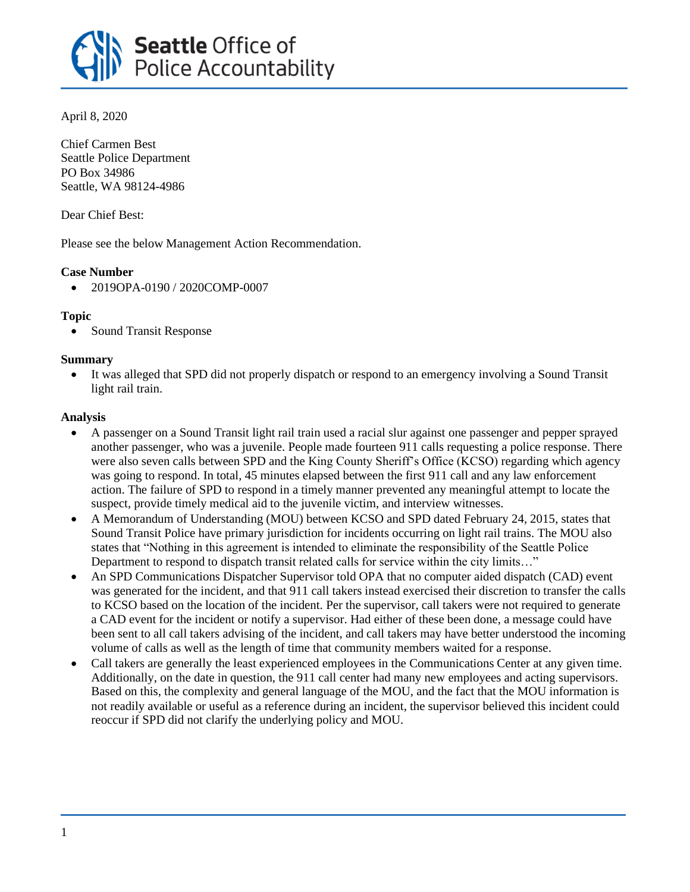

April 8, 2020

Chief Carmen Best Seattle Police Department PO Box 34986 Seattle, WA 98124-4986

Dear Chief Best:

Please see the below Management Action Recommendation.

# **Case Number**

• 2019OPA-0190 / 2020COMP-0007

## **Topic**

• Sound Transit Response

#### **Summary**

• It was alleged that SPD did not properly dispatch or respond to an emergency involving a Sound Transit light rail train.

## **Analysis**

- A passenger on a Sound Transit light rail train used a racial slur against one passenger and pepper sprayed another passenger, who was a juvenile. People made fourteen 911 calls requesting a police response. There were also seven calls between SPD and the King County Sheriff's Office (KCSO) regarding which agency was going to respond. In total, 45 minutes elapsed between the first 911 call and any law enforcement action. The failure of SPD to respond in a timely manner prevented any meaningful attempt to locate the suspect, provide timely medical aid to the juvenile victim, and interview witnesses.
- A Memorandum of Understanding (MOU) between KCSO and SPD dated February 24, 2015, states that Sound Transit Police have primary jurisdiction for incidents occurring on light rail trains. The MOU also states that "Nothing in this agreement is intended to eliminate the responsibility of the Seattle Police Department to respond to dispatch transit related calls for service within the city limits…"
- An SPD Communications Dispatcher Supervisor told OPA that no computer aided dispatch (CAD) event was generated for the incident, and that 911 call takers instead exercised their discretion to transfer the calls to KCSO based on the location of the incident. Per the supervisor, call takers were not required to generate a CAD event for the incident or notify a supervisor. Had either of these been done, a message could have been sent to all call takers advising of the incident, and call takers may have better understood the incoming volume of calls as well as the length of time that community members waited for a response.
- Call takers are generally the least experienced employees in the Communications Center at any given time. Additionally, on the date in question, the 911 call center had many new employees and acting supervisors. Based on this, the complexity and general language of the MOU, and the fact that the MOU information is not readily available or useful as a reference during an incident, the supervisor believed this incident could reoccur if SPD did not clarify the underlying policy and MOU.